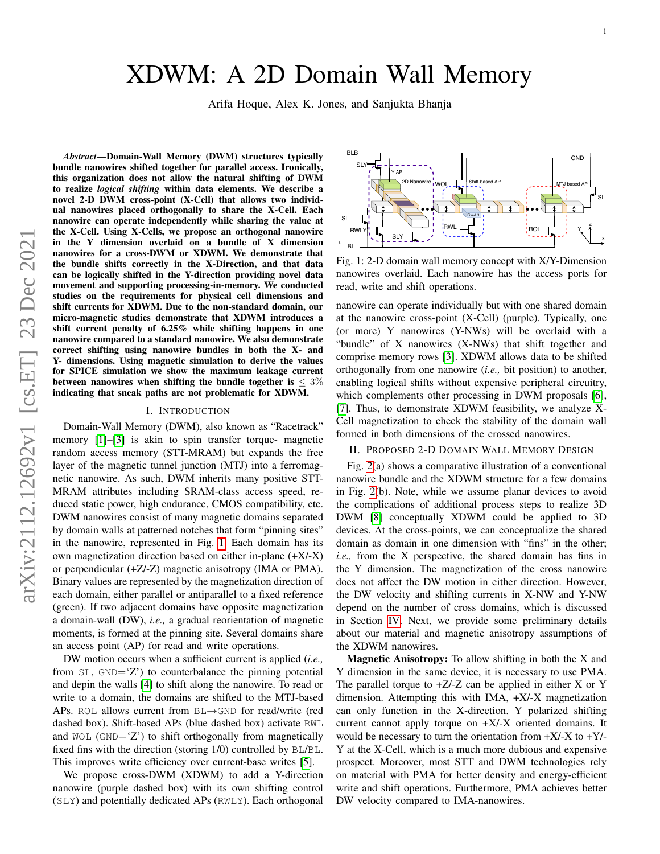# XDWM: A 2D Domain Wall Memory

Arifa Hoque, Alex K. Jones, and Sanjukta Bhanja

BLB

*Abstract*—Domain-Wall Memory (DWM) structures typically bundle nanowires shifted together for parallel access. Ironically, this organization does not allow the natural shifting of DWM to realize *logical shifting* within data elements. We describe a novel 2-D DWM cross-point (X-Cell) that allows two individual nanowires placed orthogonally to share the X-Cell. Each nanowire can operate independently while sharing the value at the X-Cell. Using X-Cells, we propose an orthogonal nanowire in the Y dimension overlaid on a bundle of X dimension nanowires for a cross-DWM or XDWM. We demonstrate that the bundle shifts correctly in the X-Direction, and that data can be logically shifted in the Y-direction providing novel data movement and supporting processing-in-memory. We conducted studies on the requirements for physical cell dimensions and shift currents for XDWM. Due to the non-standard domain, our micro-magnetic studies demonstrate that XDWM introduces a shift current penalty of 6.25% while shifting happens in one nanowire compared to a standard nanowire. We also demonstrate correct shifting using nanowire bundles in both the X- and Y- dimensions. Using magnetic simulation to derive the values for SPICE simulation we show the maximum leakage current between nanowires when shifting the bundle together is  $\leq 3\%$ indicating that sneak paths are not problematic for XDWM.

### I. INTRODUCTION

Domain-Wall Memory (DWM), also known as "Racetrack" memory [\[1\]](#page-2-0)–[\[3\]](#page-2-1) is akin to spin transfer torque- magnetic random access memory (STT-MRAM) but expands the free layer of the magnetic tunnel junction (MTJ) into a ferromagnetic nanowire. As such, DWM inherits many positive STT-MRAM attributes including SRAM-class access speed, reduced static power, high endurance, CMOS compatibility, etc. DWM nanowires consist of many magnetic domains separated by domain walls at patterned notches that form "pinning sites" in the nanowire, represented in Fig. [1.](#page-0-0) Each domain has its own magnetization direction based on either in-plane (+X/-X) or perpendicular (+Z/-Z) magnetic anisotropy (IMA or PMA). Binary values are represented by the magnetization direction of each domain, either parallel or antiparallel to a fixed reference (green). If two adjacent domains have opposite magnetization a domain-wall (DW), *i.e.,* a gradual reorientation of magnetic moments, is formed at the pinning site. Several domains share an access point (AP) for read and write operations.

DW motion occurs when a sufficient current is applied (*i.e.,* from  $SL$ ,  $GND = 'Z'$ ) to counterbalance the pinning potential and depin the walls [\[4\]](#page-2-2) to shift along the nanowire. To read or write to a domain, the domains are shifted to the MTJ-based APs. ROL allows current from BL→GND for read/write (red dashed box). Shift-based APs (blue dashed box) activate RWL and  $WOL$  (GND= $Z'$ ) to shift orthogonally from magnetically fixed fins with the direction (storing  $1/0$ ) controlled by  $BL/BL$ . This improves write efficiency over current-base writes [\[5\]](#page-2-3).

We propose cross-DWM (XDWM) to add a Y-direction nanowire (purple dashed box) with its own shifting control (SLY) and potentially dedicated APs (RWLY). Each orthogonal

<span id="page-0-0"></span>**GND** SLY Y AP 2D Nanowire WOL Shift-based AP  $\begin{array}{c} \n\overline{\phantom{a}} & \overline{\phantom{a}} & \overline{\phantom{a}} \n\end{array}$  MTJ based AP  $\sqrt{1}$ SL  $\downarrow$   $\downarrow$ Ŧ Fixed '1' SL Z  $R^{WL} \rightarrow R^{WL}$ RWLY Y **SLY** X  $\ddot{\phantom{0}}$ BL

Fig. 1: 2-D domain wall memory concept with X/Y-Dimension nanowires overlaid. Each nanowire has the access ports for read, write and shift operations.

nanowire can operate individually but with one shared domain at the nanowire cross-point (X-Cell) (purple). Typically, one (or more) Y nanowires (Y-NWs) will be overlaid with a "bundle" of X nanowires (X-NWs) that shift together and comprise memory rows [\[3\]](#page-2-1). XDWM allows data to be shifted orthogonally from one nanowire (*i.e.,* bit position) to another, enabling logical shifts without expensive peripheral circuitry, which complements other processing in DWM proposals [\[6\]](#page-2-4), [\[7\]](#page-2-5). Thus, to demonstrate XDWM feasibility, we analyze X-Cell magnetization to check the stability of the domain wall formed in both dimensions of the crossed nanowires.

## II. PROPOSED 2-D DOMAIN WALL MEMORY DESIGN

Fig. [2\(](#page-1-0)a) shows a comparative illustration of a conventional nanowire bundle and the XDWM structure for a few domains in Fig. [2\(](#page-1-0)b). Note, while we assume planar devices to avoid the complications of additional process steps to realize 3D DWM [\[8\]](#page-2-6) conceptually XDWM could be applied to 3D devices. At the cross-points, we can conceptualize the shared domain as domain in one dimension with "fins" in the other; *i.e.,* from the X perspective, the shared domain has fins in the Y dimension. The magnetization of the cross nanowire does not affect the DW motion in either direction. However, the DW velocity and shifting currents in X-NW and Y-NW depend on the number of cross domains, which is discussed in Section [IV.](#page-1-1) Next, we provide some preliminary details about our material and magnetic anisotropy assumptions of the XDWM nanowires.

Magnetic Anisotropy: To allow shifting in both the X and Y dimension in the same device, it is necessary to use PMA. The parallel torque to  $+Z$ /-Z can be applied in either X or Y dimension. Attempting this with IMA, +X/-X magnetization can only function in the X-direction. Y polarized shifting current cannot apply torque on +X/-X oriented domains. It would be necessary to turn the orientation from  $+X/-X$  to  $+Y/-X$ Y at the X-Cell, which is a much more dubious and expensive prospect. Moreover, most STT and DWM technologies rely on material with PMA for better density and energy-efficient write and shift operations. Furthermore, PMA achieves better DW velocity compared to IMA-nanowires.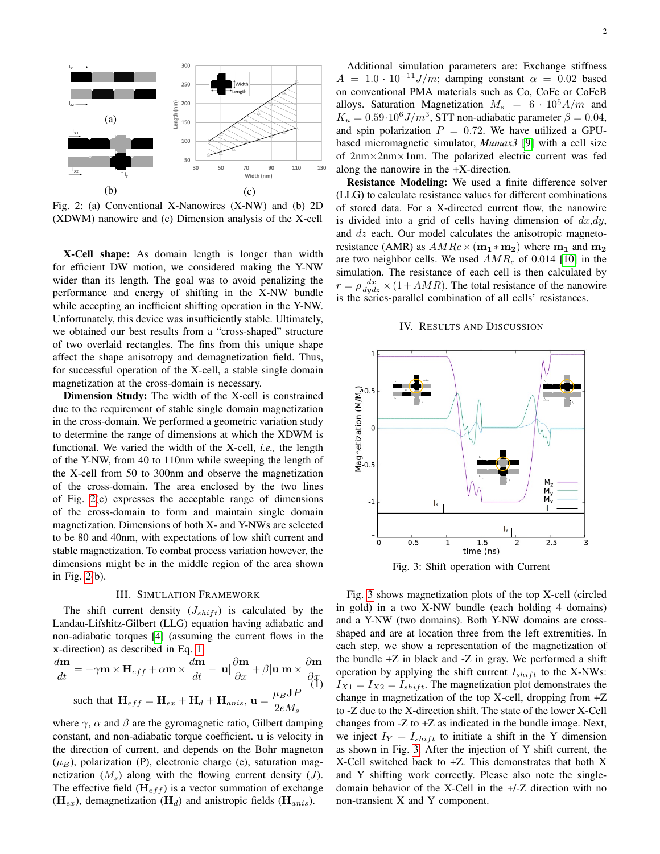<span id="page-1-0"></span>

Fig. 2: (a) Conventional X-Nanowires (X-NW) and (b) 2D (XDWM) nanowire and (c) Dimension analysis of the X-cell

X-Cell shape: As domain length is longer than width for efficient DW motion, we considered making the Y-NW wider than its length. The goal was to avoid penalizing the performance and energy of shifting in the X-NW bundle while accepting an inefficient shifting operation in the Y-NW. Unfortunately, this device was insufficiently stable. Ultimately, we obtained our best results from a "cross-shaped" structure of two overlaid rectangles. The fins from this unique shape affect the shape anisotropy and demagnetization field. Thus, for successful operation of the X-cell, a stable single domain magnetization at the cross-domain is necessary.

Dimension Study: The width of the X-cell is constrained due to the requirement of stable single domain magnetization in the cross-domain. We performed a geometric variation study to determine the range of dimensions at which the XDWM is functional. We varied the width of the X-cell, *i.e.,* the length of the Y-NW, from 40 to 110nm while sweeping the length of the X-cell from 50 to 300nm and observe the magnetization of the cross-domain. The area enclosed by the two lines of Fig. [2\(](#page-1-0)c) expresses the acceptable range of dimensions of the cross-domain to form and maintain single domain magnetization. Dimensions of both X- and Y-NWs are selected to be 80 and 40nm, with expectations of low shift current and stable magnetization. To combat process variation however, the dimensions might be in the middle region of the area shown in Fig. [2\(](#page-1-0)b).

### III. SIMULATION FRAMEWORK

The shift current density  $(J_{shift})$  is calculated by the Landau-Lifshitz-Gilbert (LLG) equation having adiabatic and non-adiabatic torques [\[4\]](#page-2-2) (assuming the current flows in the x-direction) as described in Eq. [1:](#page-1-2)

<span id="page-1-2"></span>
$$
\frac{d\mathbf{m}}{dt} = -\gamma \mathbf{m} \times \mathbf{H}_{eff} + \alpha \mathbf{m} \times \frac{d\mathbf{m}}{dt} - |\mathbf{u}| \frac{\partial \mathbf{m}}{\partial x} + \beta |\mathbf{u}| \mathbf{m} \times \frac{\partial \mathbf{m}}{\partial x}
$$
  
such that  $\mathbf{H}_{eff} = \mathbf{H}_{ex} + \mathbf{H}_d + \mathbf{H}_{anis}$ ,  $\mathbf{u} = \frac{\mu_B \mathbf{J} P}{2e M_s}$ 

where  $\gamma$ ,  $\alpha$  and  $\beta$  are the gyromagnetic ratio, Gilbert damping constant, and non-adiabatic torque coefficient. u is velocity in the direction of current, and depends on the Bohr magneton  $(\mu_B)$ , polarization (P), electronic charge (e), saturation magnetization  $(M_s)$  along with the flowing current density  $(J)$ . The effective field  $(\mathbf{H}_{eff})$  is a vector summation of exchange  $(H_{ex})$ , demagnetization  $(H_d)$  and anistropic fields  $(H_{anis})$ .

Additional simulation parameters are: Exchange stiffness  $A = 1.0 \cdot 10^{-11} J/m$ ; damping constant  $\alpha = 0.02$  based on conventional PMA materials such as Co, CoFe or CoFeB alloys. Saturation Magnetization  $M_s = 6 \cdot 10^5 A/m$  and  $K_u = 0.59 \cdot 10^6 J/m^3$ , STT non-adiabatic parameter  $\beta = 0.04$ , and spin polarization  $P = 0.72$ . We have utilized a GPUbased micromagnetic simulator, *Mumax3* [\[9\]](#page-2-7) with a cell size of  $2nm \times 2nm \times 1nm$ . The polarized electric current was fed along the nanowire in the +X-direction.

Resistance Modeling: We used a finite difference solver (LLG) to calculate resistance values for different combinations of stored data. For a X-directed current flow, the nanowire is divided into a grid of cells having dimension of  $dx \, dy$ , and dz each. Our model calculates the anisotropic magnetoresistance (AMR) as  $AMRc \times (m_1 * m_2)$  where  $m_1$  and  $m_2$ are two neighbor cells. We used  $AMR_c$  of 0.014 [\[10\]](#page-2-8) in the simulation. The resistance of each cell is then calculated by  $r = \rho \frac{dx}{dydz} \times (1 + AMR)$ . The total resistance of the nanowire is the series-parallel combination of all cells' resistances.

#### IV. RESULTS AND DISCUSSION

<span id="page-1-3"></span><span id="page-1-1"></span>

Fig. 3: Shift operation with Current

Fig. [3](#page-1-3) shows magnetization plots of the top X-cell (circled in gold) in a two X-NW bundle (each holding 4 domains) and a Y-NW (two domains). Both Y-NW domains are crossshaped and are at location three from the left extremities. In each step, we show a representation of the magnetization of the bundle  $+Z$  in black and  $-Z$  in gray. We performed a shift operation by applying the shift current  $I_{shift}$  to the X-NWs:  $I_{X1} = I_{X2} = I_{shift}$ . The magnetization plot demonstrates the change in magnetization of the top X-cell, dropping from +Z to -Z due to the X-direction shift. The state of the lower X-Cell changes from -Z to +Z as indicated in the bundle image. Next, we inject  $I_Y = I_{shift}$  to initiate a shift in the Y dimension as shown in Fig. [3.](#page-1-3) After the injection of Y shift current, the X-Cell switched back to +Z. This demonstrates that both X and Y shifting work correctly. Please also note the singledomain behavior of the X-Cell in the +/-Z direction with no non-transient X and Y component.